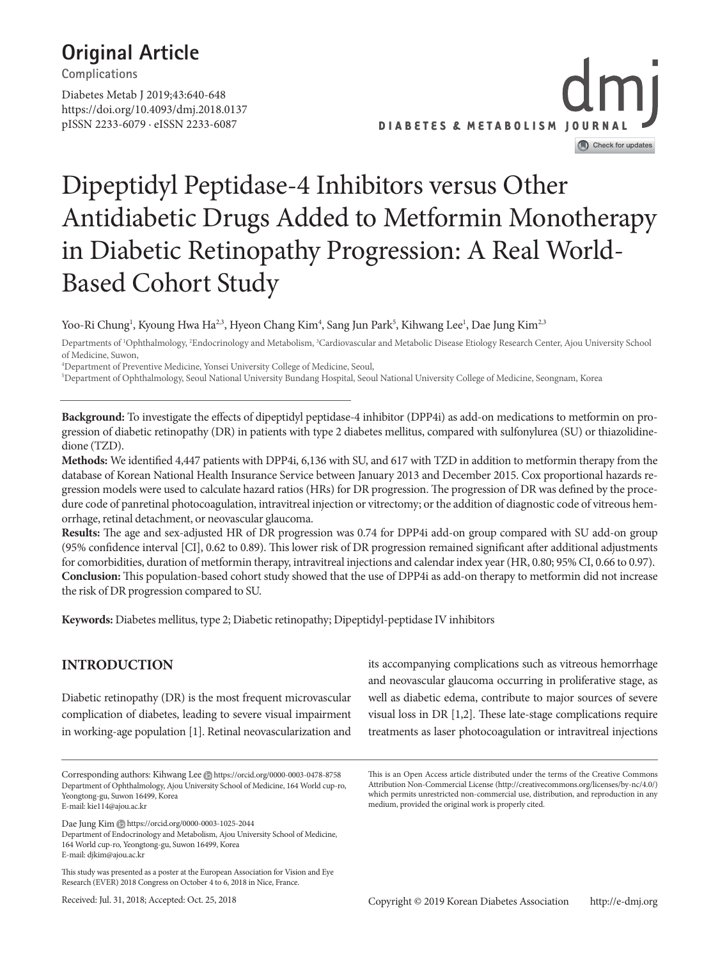## **Original Article**

**Complications**

https://doi.org/10.4093/dmj.2018.0137 pISSN 2233-6079 · eISSN 2233-6087 Diabetes Metab J 2019;43:640-648



# Dipeptidyl Peptidase-4 Inhibitors versus Other Antidiabetic Drugs Added to Metformin Monotherapy in Diabetic Retinopathy Progression: A Real World-Based Cohort Study

Yoo-Ri Chung<sup>1</sup>, Kyoung Hwa Ha<sup>2,3</sup>, Hyeon Chang Kim<sup>4</sup>, Sang Jun Park<sup>5</sup>, Kihwang Lee<sup>1</sup>, Dae Jung Kim<sup>2,3</sup>

Departments of <sup>1</sup>Ophthalmology, <sup>2</sup>Endocrinology and Metabolism, <sup>3</sup>Cardiovascular and Metabolic Disease Etiology Research Center, Ajou University School of Medicine, Suwon,

4 Department of Preventive Medicine, Yonsei University College of Medicine, Seoul,

5 Department of Ophthalmology, Seoul National University Bundang Hospital, Seoul National University College of Medicine, Seongnam, Korea

**Background:** To investigate the effects of dipeptidyl peptidase-4 inhibitor (DPP4i) as add-on medications to metformin on progression of diabetic retinopathy (DR) in patients with type 2 diabetes mellitus, compared with sulfonylurea (SU) or thiazolidinedione (TZD).

**Methods:** We identified 4,447 patients with DPP4i, 6,136 with SU, and 617 with TZD in addition to metformin therapy from the database of Korean National Health Insurance Service between January 2013 and December 2015. Cox proportional hazards regression models were used to calculate hazard ratios (HRs) for DR progression. The progression of DR was defined by the procedure code of panretinal photocoagulation, intravitreal injection or vitrectomy; or the addition of diagnostic code of vitreous hemorrhage, retinal detachment, or neovascular glaucoma.

**Results:** The age and sex-adjusted HR of DR progression was 0.74 for DPP4i add-on group compared with SU add-on group (95% confidence interval [CI], 0.62 to 0.89). This lower risk of DR progression remained significant after additional adjustments for comorbidities, duration of metformin therapy, intravitreal injections and calendar index year (HR, 0.80; 95% CI, 0.66 to 0.97). **Conclusion:** This population-based cohort study showed that the use of DPP4i as add-on therapy to metformin did not increase the risk of DR progression compared to SU.

**Keywords:** Diabetes mellitus, type 2; Diabetic retinopathy; Dipeptidyl-peptidase IV inhibitors

## **INTRODUCTION**

Diabetic retinopathy (DR) is the most frequent microvascular complication of diabetes, leading to severe visual impairment in working-age population [1]. Retinal neovascularization and

Corresponding authors: Kihwang Lee Dhttps://orcid.org/0000-0003-0478-8758 Department of Ophthalmology, Ajou University School of Medicine, 164 World cup-ro, Yeongtong-gu, Suwon 16499, Korea E-mail: kie114@ajou.ac.kr

Dae Jung Kim https://orcid.org/0000-0003-1025-2044

Department of Endocrinology and Metabolism, Ajou University School of Medicine, 164 World cup-ro, Yeongtong-gu, Suwon 16499, Korea E-mail: djkim@ajou.ac.kr

This study was presented as a poster at the European Association for Vision and Eye Research (EVER) 2018 Congress on October 4 to 6, 2018 in Nice, France.

Received: Jul. 31, 2018; Accepted: Oct. 25, 2018

its accompanying complications such as vitreous hemorrhage and neovascular glaucoma occurring in proliferative stage, as well as diabetic edema, contribute to major sources of severe visual loss in DR [1,2]. These late-stage complications require treatments as laser photocoagulation or intravitreal injections

This is an Open Access article distributed under the terms of the Creative Commons Attribution Non-Commercial License (http://creativecommons.org/licenses/by-nc/4.0/) which permits unrestricted non-commercial use, distribution, and reproduction in any medium, provided the original work is properly cited.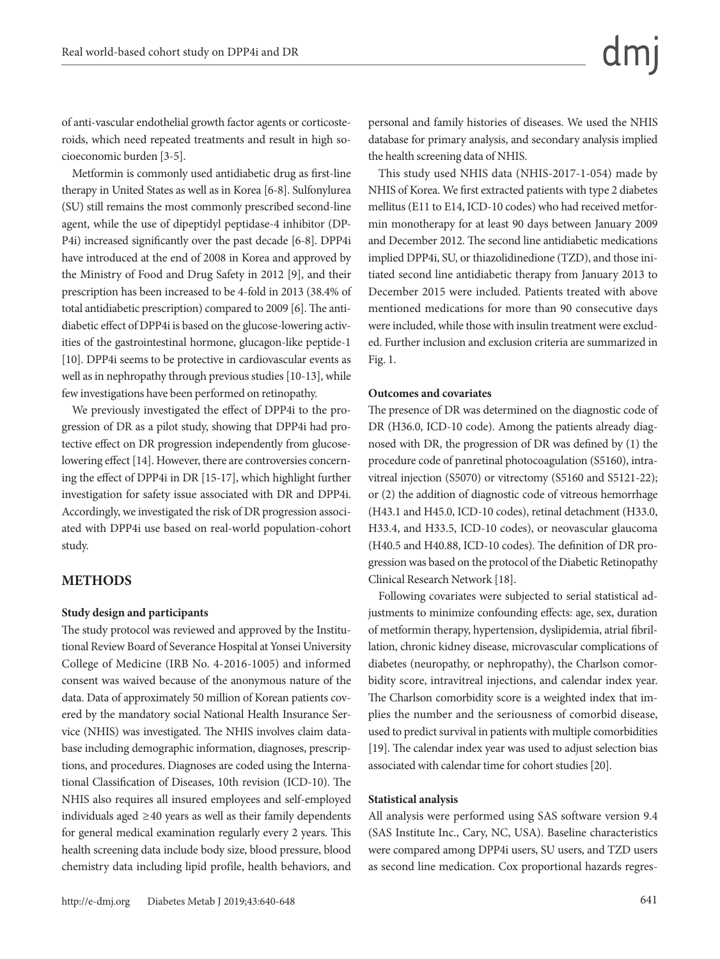of anti-vascular endothelial growth factor agents or corticosteroids, which need repeated treatments and result in high socioeconomic burden [3-5].

Metformin is commonly used antidiabetic drug as first-line therapy in United States as well as in Korea [6-8]. Sulfonylurea (SU) still remains the most commonly prescribed second-line agent, while the use of dipeptidyl peptidase-4 inhibitor (DP-P4i) increased significantly over the past decade [6-8]. DPP4i have introduced at the end of 2008 in Korea and approved by the Ministry of Food and Drug Safety in 2012 [9], and their prescription has been increased to be 4-fold in 2013 (38.4% of total antidiabetic prescription) compared to 2009 [6]. The antidiabetic effect of DPP4i is based on the glucose-lowering activities of the gastrointestinal hormone, glucagon-like peptide-1 [10]. DPP4i seems to be protective in cardiovascular events as well as in nephropathy through previous studies [10-13], while few investigations have been performed on retinopathy.

We previously investigated the effect of DPP4i to the progression of DR as a pilot study, showing that DPP4i had protective effect on DR progression independently from glucoselowering effect [14]. However, there are controversies concerning the effect of DPP4i in DR [15-17], which highlight further investigation for safety issue associated with DR and DPP4i. Accordingly, we investigated the risk of DR progression associated with DPP4i use based on real-world population-cohort study.

#### **METHODS**

#### **Study design and participants**

The study protocol was reviewed and approved by the Institutional Review Board of Severance Hospital at Yonsei University College of Medicine (IRB No. 4-2016-1005) and informed consent was waived because of the anonymous nature of the data. Data of approximately 50 million of Korean patients covered by the mandatory social National Health Insurance Service (NHIS) was investigated. The NHIS involves claim database including demographic information, diagnoses, prescriptions, and procedures. Diagnoses are coded using the International Classification of Diseases, 10th revision (ICD-10). The NHIS also requires all insured employees and self-employed individuals aged ≥40 years as well as their family dependents for general medical examination regularly every 2 years. This health screening data include body size, blood pressure, blood chemistry data including lipid profile, health behaviors, and

personal and family histories of diseases. We used the NHIS database for primary analysis, and secondary analysis implied the health screening data of NHIS.

This study used NHIS data (NHIS-2017-1-054) made by NHIS of Korea. We first extracted patients with type 2 diabetes mellitus (E11 to E14, ICD-10 codes) who had received metformin monotherapy for at least 90 days between January 2009 and December 2012. The second line antidiabetic medications implied DPP4i, SU, or thiazolidinedione (TZD), and those initiated second line antidiabetic therapy from January 2013 to December 2015 were included. Patients treated with above mentioned medications for more than 90 consecutive days were included, while those with insulin treatment were excluded. Further inclusion and exclusion criteria are summarized in Fig. 1.

#### **Outcomes and covariates**

The presence of DR was determined on the diagnostic code of DR (H36.0, ICD-10 code). Among the patients already diagnosed with DR, the progression of DR was defined by (1) the procedure code of panretinal photocoagulation (S5160), intravitreal injection (S5070) or vitrectomy (S5160 and S5121-22); or (2) the addition of diagnostic code of vitreous hemorrhage (H43.1 and H45.0, ICD-10 codes), retinal detachment (H33.0, H33.4, and H33.5, ICD-10 codes), or neovascular glaucoma (H40.5 and H40.88, ICD-10 codes). The definition of DR progression was based on the protocol of the Diabetic Retinopathy Clinical Research Network [18].

Following covariates were subjected to serial statistical adjustments to minimize confounding effects: age, sex, duration of metformin therapy, hypertension, dyslipidemia, atrial fibrillation, chronic kidney disease, microvascular complications of diabetes (neuropathy, or nephropathy), the Charlson comorbidity score, intravitreal injections, and calendar index year. The Charlson comorbidity score is a weighted index that implies the number and the seriousness of comorbid disease, used to predict survival in patients with multiple comorbidities [19]. The calendar index year was used to adjust selection bias associated with calendar time for cohort studies [20].

#### **Statistical analysis**

All analysis were performed using SAS software version 9.4 (SAS Institute Inc., Cary, NC, USA). Baseline characteristics were compared among DPP4i users, SU users, and TZD users as second line medication. Cox proportional hazards regres-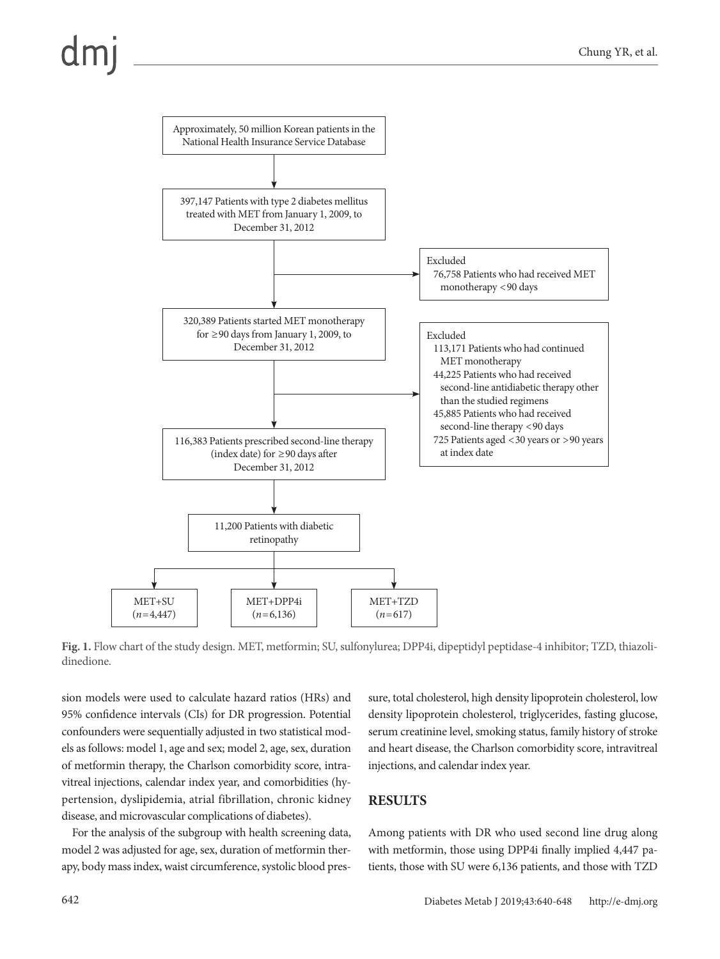

**Fig. 1.** Flow chart of the study design. MET, metformin; SU, sulfonylurea; DPP4i, dipeptidyl peptidase-4 inhibitor; TZD, thiazolidinedione.

sion models were used to calculate hazard ratios (HRs) and 95% confidence intervals (CIs) for DR progression. Potential confounders were sequentially adjusted in two statistical models as follows: model 1, age and sex; model 2, age, sex, duration of metformin therapy, the Charlson comorbidity score, intravitreal injections, calendar index year, and comorbidities (hypertension, dyslipidemia, atrial fibrillation, chronic kidney disease, and microvascular complications of diabetes).

For the analysis of the subgroup with health screening data, model 2 was adjusted for age, sex, duration of metformin therapy, body mass index, waist circumference, systolic blood pressure, total cholesterol, high density lipoprotein cholesterol, low density lipoprotein cholesterol, triglycerides, fasting glucose, serum creatinine level, smoking status, family history of stroke and heart disease, the Charlson comorbidity score, intravitreal injections, and calendar index year.

## **RESULTS**

Among patients with DR who used second line drug along with metformin, those using DPP4i finally implied 4,447 patients, those with SU were 6,136 patients, and those with TZD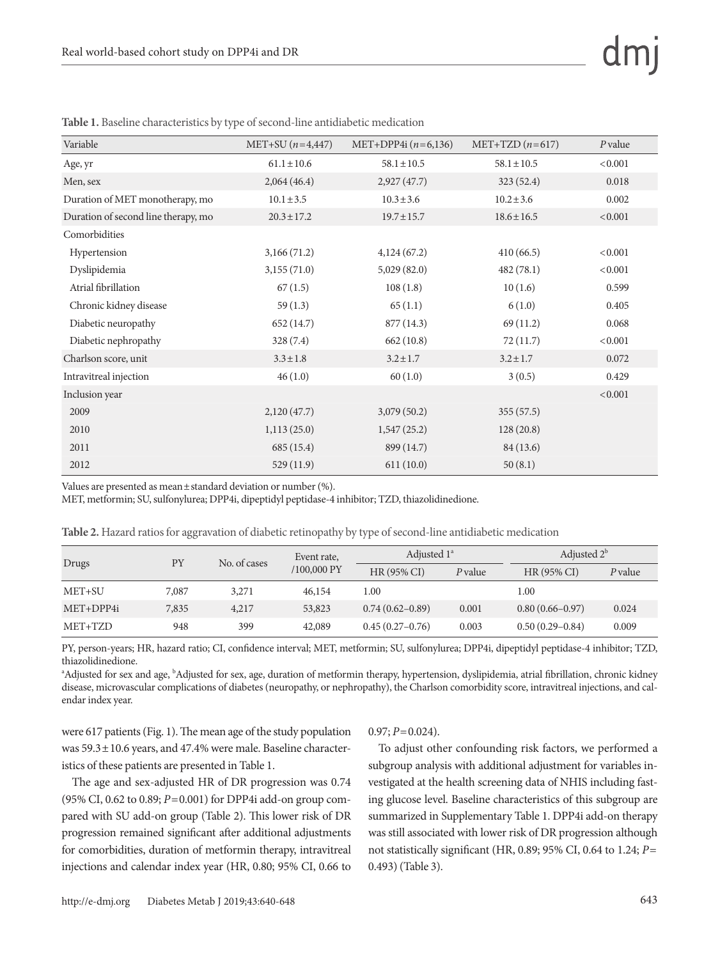| Variable                            | $MET+SU(n=4,447)$ | MET+DPP4i $(n=6,136)$ | MET+TZD $(n=617)$ | $P$ value |
|-------------------------------------|-------------------|-----------------------|-------------------|-----------|
| Age, yr                             | $61.1 \pm 10.6$   | $58.1 \pm 10.5$       | $58.1 \pm 10.5$   | < 0.001   |
| Men, sex                            | 2,064(46.4)       | 2,927(47.7)           | 323(52.4)         | 0.018     |
| Duration of MET monotherapy, mo     | $10.1 \pm 3.5$    | $10.3 \pm 3.6$        | $10.2 \pm 3.6$    | 0.002     |
| Duration of second line therapy, mo | $20.3 \pm 17.2$   | $19.7 \pm 15.7$       | $18.6 \pm 16.5$   | < 0.001   |
| Comorbidities                       |                   |                       |                   |           |
| Hypertension                        | 3,166(71.2)       | 4,124(67.2)           | 410(66.5)         | < 0.001   |
| Dyslipidemia                        | 3,155(71.0)       | 5,029(82.0)           | 482(78.1)         | < 0.001   |
| Atrial fibrillation                 | 67(1.5)           | 108(1.8)              | 10(1.6)           | 0.599     |
| Chronic kidney disease              | 59(1.3)           | 65(1.1)               | 6(1.0)            | 0.405     |
| Diabetic neuropathy                 | 652 (14.7)        | 877 (14.3)            | 69(11.2)          | 0.068     |
| Diabetic nephropathy                | 328(7.4)          | 662 (10.8)            | 72(11.7)          | < 0.001   |
| Charlson score, unit                | $3.3 \pm 1.8$     | $3.2 \pm 1.7$         | $3.2 \pm 1.7$     | 0.072     |
| Intravitreal injection              | 46(1.0)           | 60(1.0)               | 3(0.5)            | 0.429     |
| Inclusion year                      |                   |                       |                   | < 0.001   |
| 2009                                | 2,120(47.7)       | 3,079(50.2)           | 355(57.5)         |           |
| 2010                                | 1,113(25.0)       | 1,547(25.2)           | 128(20.8)         |           |
| 2011                                | 685 (15.4)        | 899 (14.7)            | 84 (13.6)         |           |
| 2012                                | 529 (11.9)        | 611(10.0)             | 50(8.1)           |           |

**Table 1.** Baseline characteristics by type of second-line antidiabetic medication

Values are presented as mean±standard deviation or number (%).

MET, metformin; SU, sulfonylurea; DPP4i, dipeptidyl peptidase-4 inhibitor; TZD, thiazolidinedione.

| Table 2. Hazard ratios for aggravation of diabetic retinopathy by type of second-line antidiabetic medication |  |  |  |  |
|---------------------------------------------------------------------------------------------------------------|--|--|--|--|
|---------------------------------------------------------------------------------------------------------------|--|--|--|--|

| Drugs     | PY    | No. of cases | Event rate,<br>$/100,000$ PY | Adjusted $1^a$      |         | Adjusted $2b$       |         |
|-----------|-------|--------------|------------------------------|---------------------|---------|---------------------|---------|
|           |       |              |                              | HR (95% CI)         | P value | $HR(95\% CI)$       | P value |
| MET+SU    | 7,087 | 3,271        | 46,154                       | 1.00                |         | 1.00                |         |
| MET+DPP4i | 7,835 | 4,217        | 53,823                       | $0.74(0.62 - 0.89)$ | 0.001   | $0.80(0.66 - 0.97)$ | 0.024   |
| MET+TZD   | 948   | 399          | 42,089                       | $0.45(0.27-0.76)$   | 0.003   | $0.50(0.29 - 0.84)$ | 0.009   |

PY, person-years; HR, hazard ratio; CI, confidence interval; MET, metformin; SU, sulfonylurea; DPP4i, dipeptidyl peptidase-4 inhibitor; TZD, thiazolidinedione.

<sup>a</sup>Adjusted for sex and age, <sup>b</sup>Adjusted for sex, age, duration of metformin therapy, hypertension, dyslipidemia, atrial fibrillation, chronic kidney disease, microvascular complications of diabetes (neuropathy, or nephropathy), the Charlson comorbidity score, intravitreal injections, and calendar index year.

were 617 patients (Fig. 1). The mean age of the study population was 59.3±10.6 years, and 47.4% were male. Baseline characteristics of these patients are presented in Table 1.

The age and sex-adjusted HR of DR progression was 0.74 (95% CI, 0.62 to 0.89; *P*=0.001) for DPP4i add-on group compared with SU add-on group (Table 2). This lower risk of DR progression remained significant after additional adjustments for comorbidities, duration of metformin therapy, intravitreal injections and calendar index year (HR, 0.80; 95% CI, 0.66 to

#### 0.97; *P*=0.024).

To adjust other confounding risk factors, we performed a subgroup analysis with additional adjustment for variables investigated at the health screening data of NHIS including fasting glucose level. Baseline characteristics of this subgroup are summarized in Supplementary Table 1. DPP4i add-on therapy was still associated with lower risk of DR progression although not statistically significant (HR, 0.89; 95% CI, 0.64 to 1.24; *P*= 0.493) (Table 3).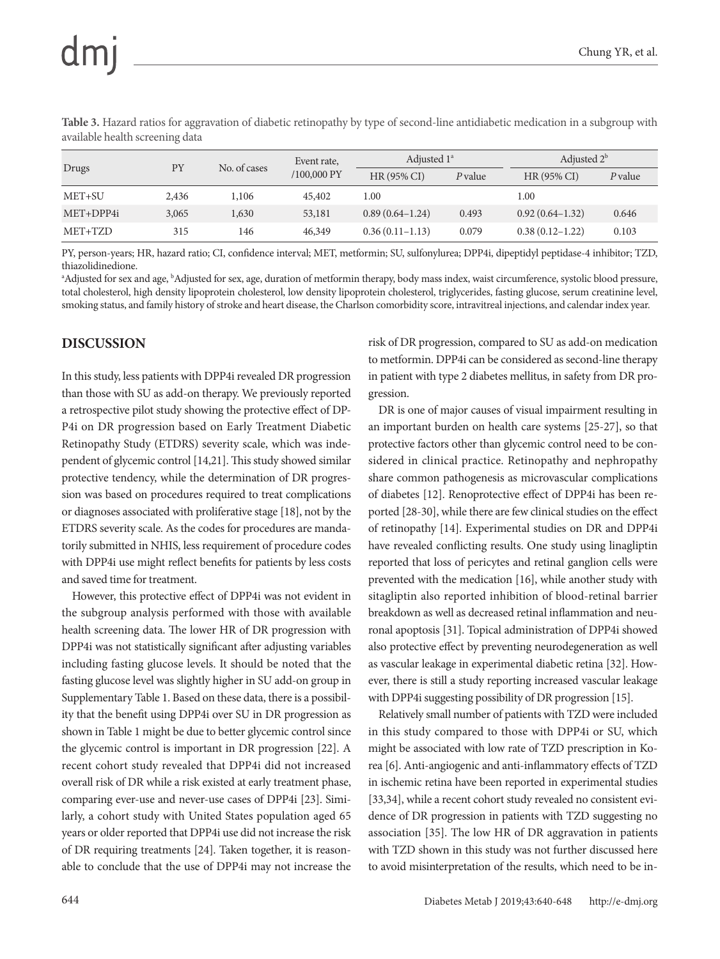**Table 3.** Hazard ratios for aggravation of diabetic retinopathy by type of second-line antidiabetic medication in a subgroup with available health screening data

| Drugs     | PY    | No. of cases | Event rate,<br>$/100,000$ PY | Adjusted $1^a$    |         | Adjusted $2^b$      |         |
|-----------|-------|--------------|------------------------------|-------------------|---------|---------------------|---------|
|           |       |              |                              | HR (95% CI)       | P value | $HR(95\% CI)$       | P value |
| MET+SU    | 2,436 | 1,106        | 45,402                       | 1.00              |         | 1.00                |         |
| MET+DPP4i | 3,065 | 1,630        | 53,181                       | $0.89(0.64-1.24)$ | 0.493   | $0.92(0.64-1.32)$   | 0.646   |
| MET+TZD   | 315   | 146          | 46,349                       | $0.36(0.11-1.13)$ | 0.079   | $0.38(0.12 - 1.22)$ | 0.103   |

PY, person-years; HR, hazard ratio; CI, confidence interval; MET, metformin; SU, sulfonylurea; DPP4i, dipeptidyl peptidase-4 inhibitor; TZD, thiazolidinedione.

<sup>a</sup>Adjusted for sex and age, <sup>b</sup>Adjusted for sex, age, duration of metformin therapy, body mass index, waist circumference, systolic blood pressure, total cholesterol, high density lipoprotein cholesterol, low density lipoprotein cholesterol, triglycerides, fasting glucose, serum creatinine level, smoking status, and family history of stroke and heart disease, the Charlson comorbidity score, intravitreal injections, and calendar index year.

#### **DISCUSSION**

In this study, less patients with DPP4i revealed DR progression than those with SU as add-on therapy. We previously reported a retrospective pilot study showing the protective effect of DP-P4i on DR progression based on Early Treatment Diabetic Retinopathy Study (ETDRS) severity scale, which was independent of glycemic control [14,21]. This study showed similar protective tendency, while the determination of DR progression was based on procedures required to treat complications or diagnoses associated with proliferative stage [18], not by the ETDRS severity scale. As the codes for procedures are mandatorily submitted in NHIS, less requirement of procedure codes with DPP4i use might reflect benefits for patients by less costs and saved time for treatment.

However, this protective effect of DPP4i was not evident in the subgroup analysis performed with those with available health screening data. The lower HR of DR progression with DPP4i was not statistically significant after adjusting variables including fasting glucose levels. It should be noted that the fasting glucose level was slightly higher in SU add-on group in Supplementary Table 1. Based on these data, there is a possibility that the benefit using DPP4i over SU in DR progression as shown in Table 1 might be due to better glycemic control since the glycemic control is important in DR progression [22]. A recent cohort study revealed that DPP4i did not increased overall risk of DR while a risk existed at early treatment phase, comparing ever-use and never-use cases of DPP4i [23]. Similarly, a cohort study with United States population aged 65 years or older reported that DPP4i use did not increase the risk of DR requiring treatments [24]. Taken together, it is reasonable to conclude that the use of DPP4i may not increase the risk of DR progression, compared to SU as add-on medication to metformin. DPP4i can be considered as second-line therapy in patient with type 2 diabetes mellitus, in safety from DR progression.

DR is one of major causes of visual impairment resulting in an important burden on health care systems [25-27], so that protective factors other than glycemic control need to be considered in clinical practice. Retinopathy and nephropathy share common pathogenesis as microvascular complications of diabetes [12]. Renoprotective effect of DPP4i has been reported [28-30], while there are few clinical studies on the effect of retinopathy [14]. Experimental studies on DR and DPP4i have revealed conflicting results. One study using linagliptin reported that loss of pericytes and retinal ganglion cells were prevented with the medication [16], while another study with sitagliptin also reported inhibition of blood-retinal barrier breakdown as well as decreased retinal inflammation and neuronal apoptosis [31]. Topical administration of DPP4i showed also protective effect by preventing neurodegeneration as well as vascular leakage in experimental diabetic retina [32]. However, there is still a study reporting increased vascular leakage with DPP4i suggesting possibility of DR progression [15].

Relatively small number of patients with TZD were included in this study compared to those with DPP4i or SU, which might be associated with low rate of TZD prescription in Korea [6]. Anti-angiogenic and anti-inflammatory effects of TZD in ischemic retina have been reported in experimental studies [33,34], while a recent cohort study revealed no consistent evidence of DR progression in patients with TZD suggesting no association [35]. The low HR of DR aggravation in patients with TZD shown in this study was not further discussed here to avoid misinterpretation of the results, which need to be in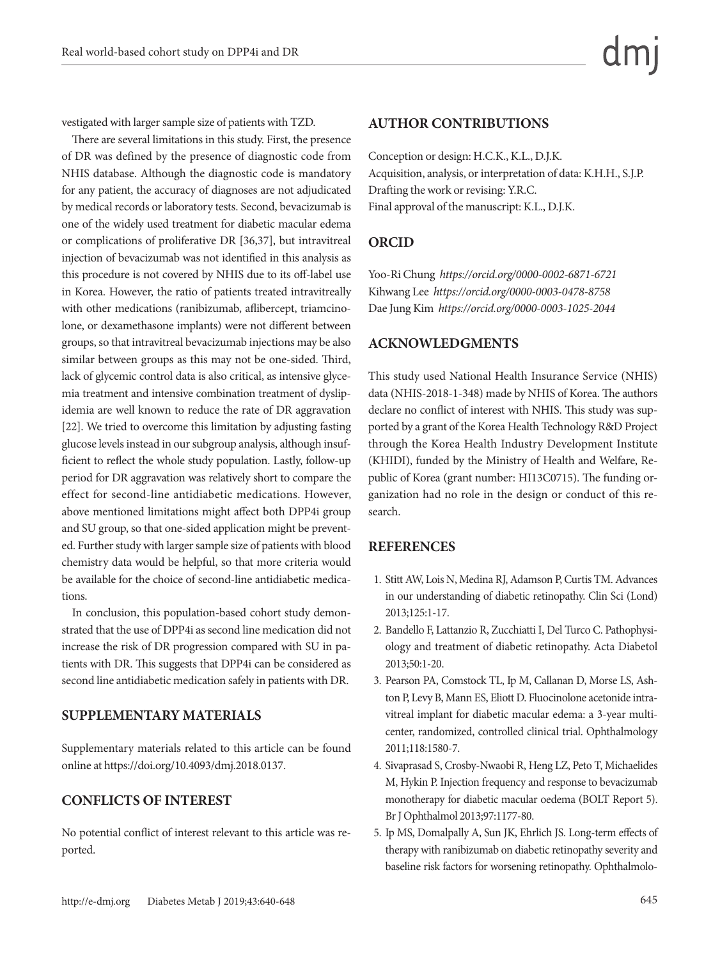vestigated with larger sample size of patients with TZD.

There are several limitations in this study. First, the presence of DR was defined by the presence of diagnostic code from NHIS database. Although the diagnostic code is mandatory for any patient, the accuracy of diagnoses are not adjudicated by medical records or laboratory tests. Second, bevacizumab is one of the widely used treatment for diabetic macular edema or complications of proliferative DR [36,37], but intravitreal injection of bevacizumab was not identified in this analysis as this procedure is not covered by NHIS due to its off-label use in Korea. However, the ratio of patients treated intravitreally with other medications (ranibizumab, aflibercept, triamcinolone, or dexamethasone implants) were not different between groups, so that intravitreal bevacizumab injections may be also similar between groups as this may not be one-sided. Third, lack of glycemic control data is also critical, as intensive glycemia treatment and intensive combination treatment of dyslipidemia are well known to reduce the rate of DR aggravation [22]. We tried to overcome this limitation by adjusting fasting glucose levels instead in our subgroup analysis, although insufficient to reflect the whole study population. Lastly, follow-up period for DR aggravation was relatively short to compare the effect for second-line antidiabetic medications. However, above mentioned limitations might affect both DPP4i group and SU group, so that one-sided application might be prevented. Further study with larger sample size of patients with blood chemistry data would be helpful, so that more criteria would be available for the choice of second-line antidiabetic medications.

In conclusion, this population-based cohort study demonstrated that the use of DPP4i as second line medication did not increase the risk of DR progression compared with SU in patients with DR. This suggests that DPP4i can be considered as second line antidiabetic medication safely in patients with DR.

#### **SUPPLEMENTARY MATERIALS**

Supplementary materials related to this article can be found online at https://doi.org/10.4093/dmj.2018.0137.

## **CONFLICTS OF INTEREST**

No potential conflict of interest relevant to this article was reported.

#### **AUTHOR CONTRIBUTIONS**

Conception or design: H.C.K., K.L., D.J.K. Acquisition, analysis, or interpretation of data: K.H.H., S.J.P. Drafting the work or revising: Y.R.C. Final approval of the manuscript: K.L., D.J.K.

## **ORCID**

Yoo-Ri Chung *https://orcid.org/0000-0002-6871-6721* Kihwang Lee *https://orcid.org/0000-0003-0478-8758* Dae Jung Kim *https://orcid.org/0000-0003-1025-2044*

#### **ACKNOWLEDGMENTS**

This study used National Health Insurance Service (NHIS) data (NHIS-2018-1-348) made by NHIS of Korea. The authors declare no conflict of interest with NHIS. This study was supported by a grant of the Korea Health Technology R&D Project through the Korea Health Industry Development Institute (KHIDI), funded by the Ministry of Health and Welfare, Republic of Korea (grant number: HI13C0715). The funding organization had no role in the design or conduct of this research.

#### **REFERENCES**

- 1. Stitt AW, Lois N, Medina RJ, Adamson P, Curtis TM. Advances in our understanding of diabetic retinopathy. Clin Sci (Lond) 2013;125:1-17.
- 2. Bandello F, Lattanzio R, Zucchiatti I, Del Turco C. Pathophysiology and treatment of diabetic retinopathy. Acta Diabetol 2013;50:1-20.
- 3. Pearson PA, Comstock TL, Ip M, Callanan D, Morse LS, Ashton P, Levy B, Mann ES, Eliott D. Fluocinolone acetonide intravitreal implant for diabetic macular edema: a 3-year multicenter, randomized, controlled clinical trial. Ophthalmology 2011;118:1580-7.
- 4. Sivaprasad S, Crosby-Nwaobi R, Heng LZ, Peto T, Michaelides M, Hykin P. Injection frequency and response to bevacizumab monotherapy for diabetic macular oedema (BOLT Report 5). Br J Ophthalmol 2013;97:1177-80.
- 5. Ip MS, Domalpally A, Sun JK, Ehrlich JS. Long-term effects of therapy with ranibizumab on diabetic retinopathy severity and baseline risk factors for worsening retinopathy. Ophthalmolo-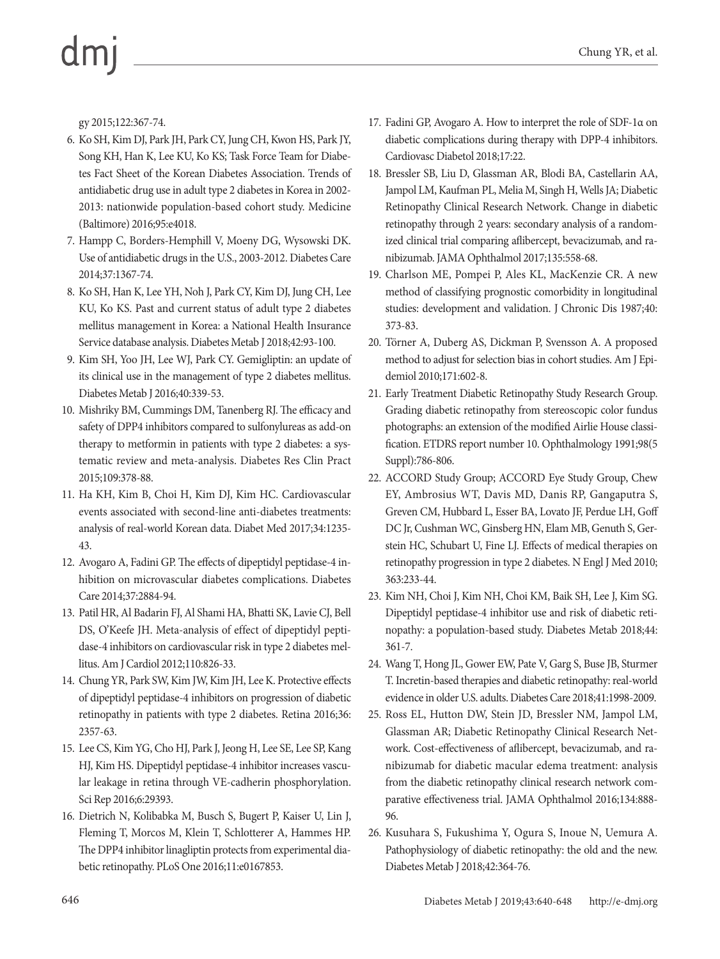gy 2015;122:367-74.

- 6. Ko SH, Kim DJ, Park JH, Park CY, Jung CH, Kwon HS, Park JY, Song KH, Han K, Lee KU, Ko KS; Task Force Team for Diabetes Fact Sheet of the Korean Diabetes Association. Trends of antidiabetic drug use in adult type 2 diabetes in Korea in 2002- 2013: nationwide population-based cohort study. Medicine (Baltimore) 2016;95:e4018.
- 7. Hampp C, Borders-Hemphill V, Moeny DG, Wysowski DK. Use of antidiabetic drugs in the U.S., 2003-2012. Diabetes Care 2014;37:1367-74.
- 8. Ko SH, Han K, Lee YH, Noh J, Park CY, Kim DJ, Jung CH, Lee KU, Ko KS. Past and current status of adult type 2 diabetes mellitus management in Korea: a National Health Insurance Service database analysis. Diabetes Metab J 2018;42:93-100.
- 9. Kim SH, Yoo JH, Lee WJ, Park CY. Gemigliptin: an update of its clinical use in the management of type 2 diabetes mellitus. Diabetes Metab J 2016;40:339-53.
- 10. Mishriky BM, Cummings DM, Tanenberg RJ. The efficacy and safety of DPP4 inhibitors compared to sulfonylureas as add-on therapy to metformin in patients with type 2 diabetes: a systematic review and meta-analysis. Diabetes Res Clin Pract 2015;109:378-88.
- 11. Ha KH, Kim B, Choi H, Kim DJ, Kim HC. Cardiovascular events associated with second-line anti-diabetes treatments: analysis of real-world Korean data. Diabet Med 2017;34:1235- 43.
- 12. Avogaro A, Fadini GP. The effects of dipeptidyl peptidase-4 inhibition on microvascular diabetes complications. Diabetes Care 2014;37:2884-94.
- 13. Patil HR, Al Badarin FJ, Al Shami HA, Bhatti SK, Lavie CJ, Bell DS, O'Keefe JH. Meta-analysis of effect of dipeptidyl peptidase-4 inhibitors on cardiovascular risk in type 2 diabetes mellitus. Am J Cardiol 2012;110:826-33.
- 14. Chung YR, Park SW, Kim JW, Kim JH, Lee K. Protective effects of dipeptidyl peptidase-4 inhibitors on progression of diabetic retinopathy in patients with type 2 diabetes. Retina 2016;36: 2357-63.
- 15. Lee CS, Kim YG, Cho HJ, Park J, Jeong H, Lee SE, Lee SP, Kang HJ, Kim HS. Dipeptidyl peptidase-4 inhibitor increases vascular leakage in retina through VE-cadherin phosphorylation. Sci Rep 2016;6:29393.
- 16. Dietrich N, Kolibabka M, Busch S, Bugert P, Kaiser U, Lin J, Fleming T, Morcos M, Klein T, Schlotterer A, Hammes HP. The DPP4 inhibitor linagliptin protects from experimental diabetic retinopathy. PLoS One 2016;11:e0167853.
- 17. Fadini GP, Avogaro A. How to interpret the role of SDF-1α on diabetic complications during therapy with DPP-4 inhibitors. Cardiovasc Diabetol 2018;17:22.
- 18. Bressler SB, Liu D, Glassman AR, Blodi BA, Castellarin AA, Jampol LM, Kaufman PL, Melia M, Singh H, Wells JA; Diabetic Retinopathy Clinical Research Network. Change in diabetic retinopathy through 2 years: secondary analysis of a randomized clinical trial comparing aflibercept, bevacizumab, and ranibizumab. JAMA Ophthalmol 2017;135:558-68.
- 19. Charlson ME, Pompei P, Ales KL, MacKenzie CR. A new method of classifying prognostic comorbidity in longitudinal studies: development and validation. J Chronic Dis 1987;40: 373-83.
- 20. Törner A, Duberg AS, Dickman P, Svensson A. A proposed method to adjust for selection bias in cohort studies. Am J Epidemiol 2010;171:602-8.
- 21. Early Treatment Diabetic Retinopathy Study Research Group. Grading diabetic retinopathy from stereoscopic color fundus photographs: an extension of the modified Airlie House classification. ETDRS report number 10. Ophthalmology 1991;98(5 Suppl):786-806.
- 22. ACCORD Study Group; ACCORD Eye Study Group, Chew EY, Ambrosius WT, Davis MD, Danis RP, Gangaputra S, Greven CM, Hubbard L, Esser BA, Lovato JF, Perdue LH, Goff DC Jr, Cushman WC, Ginsberg HN, Elam MB, Genuth S, Gerstein HC, Schubart U, Fine LJ. Effects of medical therapies on retinopathy progression in type 2 diabetes. N Engl J Med 2010; 363:233-44.
- 23. Kim NH, Choi J, Kim NH, Choi KM, Baik SH, Lee J, Kim SG. Dipeptidyl peptidase-4 inhibitor use and risk of diabetic retinopathy: a population-based study. Diabetes Metab 2018;44: 361-7.
- 24. Wang T, Hong JL, Gower EW, Pate V, Garg S, Buse JB, Sturmer T. Incretin-based therapies and diabetic retinopathy: real-world evidence in older U.S. adults. Diabetes Care 2018;41:1998-2009.
- 25. Ross EL, Hutton DW, Stein JD, Bressler NM, Jampol LM, Glassman AR; Diabetic Retinopathy Clinical Research Network. Cost-effectiveness of aflibercept, bevacizumab, and ranibizumab for diabetic macular edema treatment: analysis from the diabetic retinopathy clinical research network comparative effectiveness trial. JAMA Ophthalmol 2016;134:888- 96.
- 26. Kusuhara S, Fukushima Y, Ogura S, Inoue N, Uemura A. Pathophysiology of diabetic retinopathy: the old and the new. Diabetes Metab J 2018;42:364-76.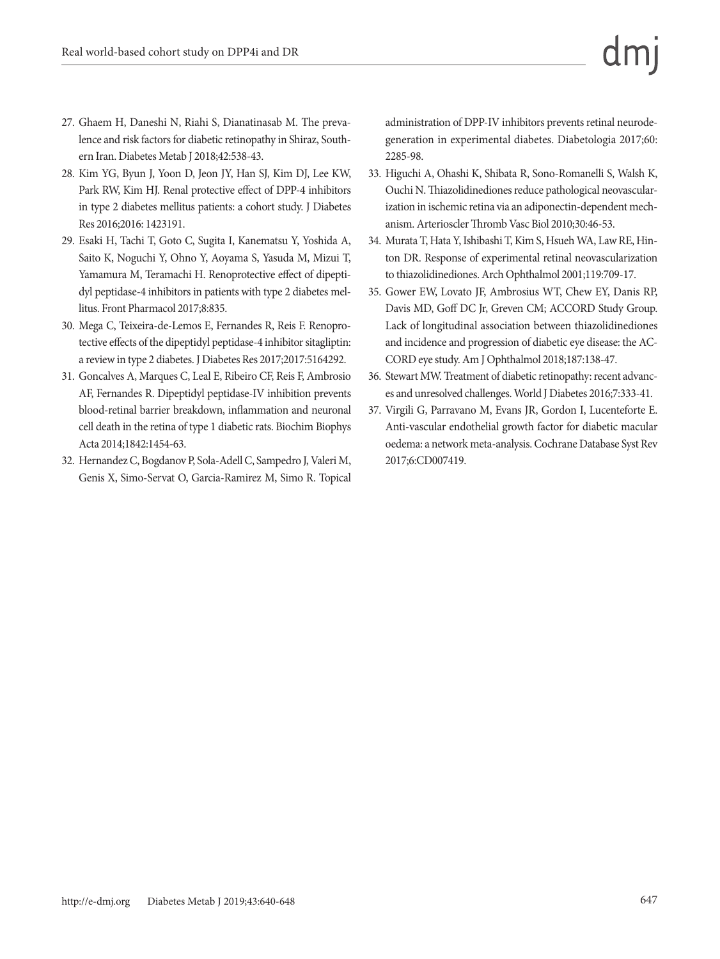- 27. Ghaem H, Daneshi N, Riahi S, Dianatinasab M. The prevalence and risk factors for diabetic retinopathy in Shiraz, Southern Iran. Diabetes Metab J 2018;42:538-43.
- 28. Kim YG, Byun J, Yoon D, Jeon JY, Han SJ, Kim DJ, Lee KW, Park RW, Kim HJ. Renal protective effect of DPP-4 inhibitors in type 2 diabetes mellitus patients: a cohort study. J Diabetes Res 2016;2016: 1423191.
- 29. Esaki H, Tachi T, Goto C, Sugita I, Kanematsu Y, Yoshida A, Saito K, Noguchi Y, Ohno Y, Aoyama S, Yasuda M, Mizui T, Yamamura M, Teramachi H. Renoprotective effect of dipeptidyl peptidase-4 inhibitors in patients with type 2 diabetes mellitus. Front Pharmacol 2017;8:835.
- 30. Mega C, Teixeira-de-Lemos E, Fernandes R, Reis F. Renoprotective effects of the dipeptidyl peptidase-4 inhibitor sitagliptin: a review in type 2 diabetes. J Diabetes Res 2017;2017:5164292.
- 31. Goncalves A, Marques C, Leal E, Ribeiro CF, Reis F, Ambrosio AF, Fernandes R. Dipeptidyl peptidase-IV inhibition prevents blood-retinal barrier breakdown, inflammation and neuronal cell death in the retina of type 1 diabetic rats. Biochim Biophys Acta 2014;1842:1454-63.
- 32. Hernandez C, Bogdanov P, Sola-Adell C, Sampedro J, Valeri M, Genis X, Simo-Servat O, Garcia-Ramirez M, Simo R. Topical

administration of DPP-IV inhibitors prevents retinal neurodegeneration in experimental diabetes. Diabetologia 2017;60: 2285-98.

- 33. Higuchi A, Ohashi K, Shibata R, Sono-Romanelli S, Walsh K, Ouchi N. Thiazolidinediones reduce pathological neovascularization in ischemic retina via an adiponectin-dependent mechanism. Arterioscler Thromb Vasc Biol 2010;30:46-53.
- 34. Murata T, Hata Y, Ishibashi T, Kim S, Hsueh WA, Law RE, Hinton DR. Response of experimental retinal neovascularization to thiazolidinediones. Arch Ophthalmol 2001;119:709-17.
- 35. Gower EW, Lovato JF, Ambrosius WT, Chew EY, Danis RP, Davis MD, Goff DC Jr, Greven CM; ACCORD Study Group. Lack of longitudinal association between thiazolidinediones and incidence and progression of diabetic eye disease: the AC-CORD eye study. Am J Ophthalmol 2018;187:138-47.
- 36. Stewart MW. Treatment of diabetic retinopathy: recent advances and unresolved challenges. World J Diabetes 2016;7:333-41.
- 37. Virgili G, Parravano M, Evans JR, Gordon I, Lucenteforte E. Anti-vascular endothelial growth factor for diabetic macular oedema: a network meta-analysis. Cochrane Database Syst Rev 2017;6:CD007419.